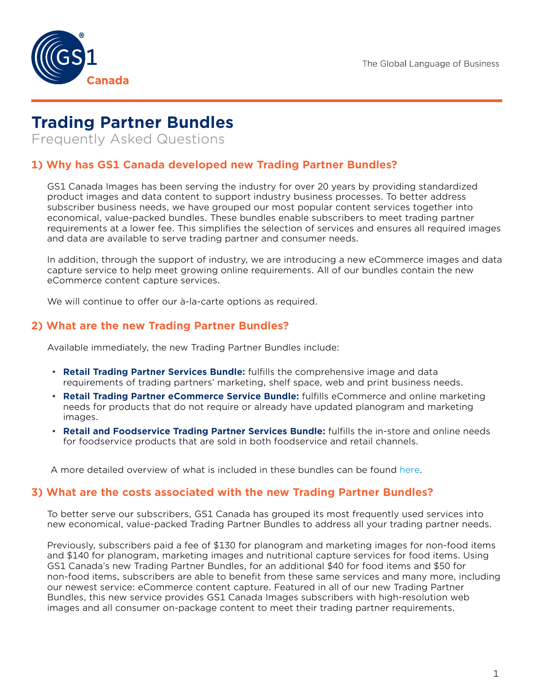

# **Trading Partner Bundles**

Frequently Asked Questions

# **1) Why has GS1 Canada developed new Trading Partner Bundles?**

GS1 Canada Images has been serving the industry for over 20 years by providing standardized product images and data content to support industry business processes. To better address subscriber business needs, we have grouped our most popular content services together into economical, value-packed bundles. These bundles enable subscribers to meet trading partner requirements at a lower fee. This simplifies the selection of services and ensures all required images and data are available to serve trading partner and consumer needs.

In addition, through the support of industry, we are introducing a new eCommerce images and data capture service to help meet growing online requirements. All of our bundles contain the new eCommerce content capture services.

We will continue to offer our à-la-carte options as required.

## **2) What are the new Trading Partner Bundles?**

Available immediately, the new Trading Partner Bundles include:

- **Retail Trading Partner Services Bundle:** fulfills the comprehensive image and data requirements of trading partners' marketing, shelf space, web and print business needs.
- **Retail Trading Partner eCommerce Service Bundle:** fulfills eCommerce and online marketing needs for products that do not require or already have updated planogram and marketing images.
- **Retail and Foodservice Trading Partner Services Bundle:** fulfills the in-store and online needs for foodservice products that are sold in both foodservice and retail channels.

A more detailed overview of what is included in these bundles can be found [here](https://gs1ca.org/trading-partner-bundles/).

#### **3) What are the costs associated with the new Trading Partner Bundles?**

To better serve our subscribers, GS1 Canada has grouped its most frequently used services into new economical, value-packed Trading Partner Bundles to address all your trading partner needs.

Previously, subscribers paid a fee of \$130 for planogram and marketing images for non-food items and \$140 for planogram, marketing images and nutritional capture services for food items. Using GS1 Canada's new Trading Partner Bundles, for an additional \$40 for food items and \$50 for non-food items, subscribers are able to benefit from these same services and many more, including our newest service: eCommerce content capture. Featured in all of our new Trading Partner Bundles, this new service provides GS1 Canada Images subscribers with high-resolution web images and all consumer on-package content to meet their trading partner requirements.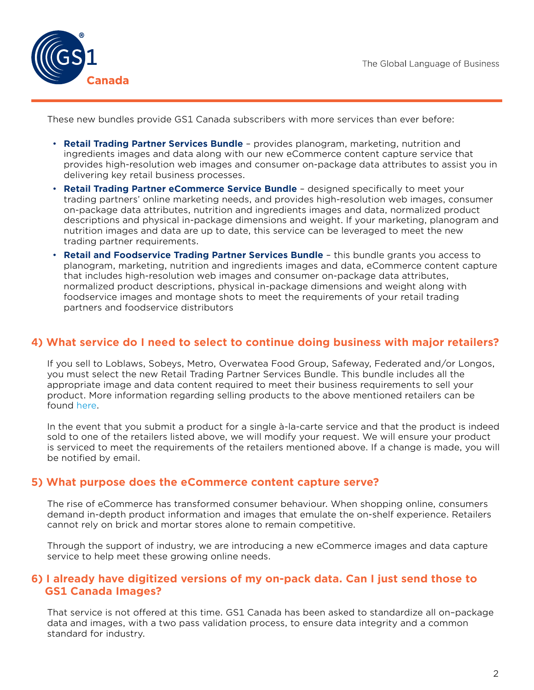

These new bundles provide GS1 Canada subscribers with more services than ever before:

- **Retail Trading Partner Services Bundle**  provides planogram, marketing, nutrition and ingredients images and data along with our new eCommerce content capture service that provides high-resolution web images and consumer on-package data attributes to assist you in delivering key retail business processes.
- **Retail Trading Partner eCommerce Service Bundle**  designed specifically to meet your trading partners' online marketing needs, and provides high-resolution web images, consumer on-package data attributes, nutrition and ingredients images and data, normalized product descriptions and physical in-package dimensions and weight. If your marketing, planogram and nutrition images and data are up to date, this service can be leveraged to meet the new trading partner requirements.
- **Retail and Foodservice Trading Partner Services Bundle** this bundle grants you access to planogram, marketing, nutrition and ingredients images and data, eCommerce content capture that includes high-resolution web images and consumer on-package data attributes, normalized product descriptions, physical in-package dimensions and weight along with foodservice images and montage shots to meet the requirements of your retail trading partners and foodservice distributors

#### **4) What service do I need to select to continue doing business with major retailers?**

If you sell to Loblaws, Sobeys, Metro, Overwatea Food Group, Safeway, Federated and/or Longos, you must select the new Retail Trading Partner Services Bundle. This bundle includes all the appropriate image and data content required to meet their business requirements to sell your product. More information regarding selling products to the above mentioned retailers can be found [here.](http://www.gs1ca.org/pages/n/drivingecommerce/index.asp?PvLng=64&utm_medium=email&utm_campaign=IR1842A1_Sep_15&utm_source=Link1Eng)

In the event that you submit a product for a single à-la-carte service and that the product is indeed sold to one of the retailers listed above, we will modify your request. We will ensure your product is serviced to meet the requirements of the retailers mentioned above. If a change is made, you will be notified by email.

#### **5) What purpose does the eCommerce content capture serve?**

The rise of eCommerce has transformed consumer behaviour. When shopping online, consumers demand in-depth product information and images that emulate the on-shelf experience. Retailers cannot rely on brick and mortar stores alone to remain competitive.

Through the support of industry, we are introducing a new eCommerce images and data capture service to help meet these growing online needs.

#### **6) I already have digitized versions of my on-pack data. Can I just send those to GS1 Canada Images?**

That service is not offered at this time. GS1 Canada has been asked to standardize all on–package data and images, with a two pass validation process, to ensure data integrity and a common standard for industry.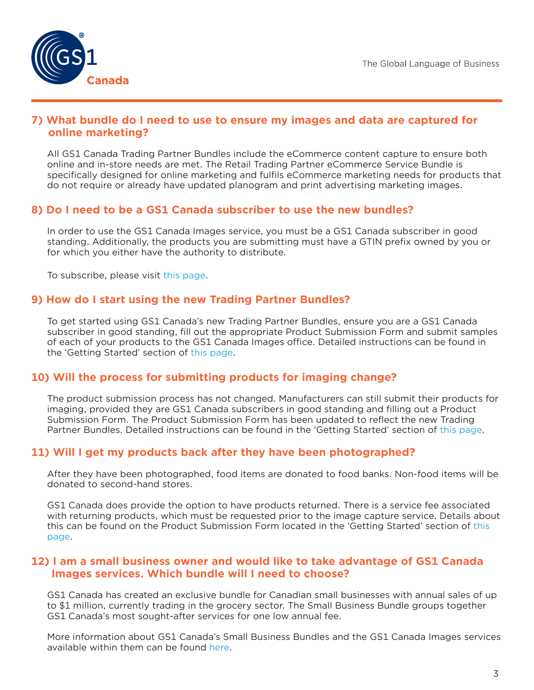

#### **7) What bundle do I need to use to ensure my images and data are captured for online marketing?**

All GS1 Canada Trading Partner Bundles include the eCommerce content capture to ensure both online and in-store needs are met. The Retail Trading Partner eCommerce Service Bundle is specifically designed for online marketing and fulfils eCommerce marketing needs for products that do not require or already have updated planogram and print advertising marketing images.

# **8) Do I need to be a GS1 Canada subscriber to use the new bundles?**

In order to use the GS1 Canada Images service, you must be a GS1 Canada subscriber in good standing. Additionally, the products you are submitting must have a GTIN prefix owned by you or for which you either have the authority to distribute.

To subscribe, please visit [this page.](http://gs1ca.org/subscribe)

## **9) How do I start using the new Trading Partner Bundles?**

To get started using GS1 Canada's new Trading Partner Bundles, ensure you are a GS1 Canada subscriber in good standing, fill out the appropriate Product Submission Form and submit samples of each of your products to the GS1 Canada Images office. Detailed instructions can be found in the 'Getting Started' section of [this page](https://gs1ca.org/trading-partner-bundles/).

## **10) Will the process for submitting products for imaging change?**

The product submission process has not changed. Manufacturers can still submit their products for imaging, provided they are GS1 Canada subscribers in good standing and filling out a Product Submission Form. The Product Submission Form has been updated to reflect the new Trading Partner Bundles. Detailed instructions can be found in the 'Getting Started' section of [this page.](https://gs1ca.org/trading-partner-bundles/)

## **11) Will I get my products back after they have been photographed?**

After they have been photographed, food items are donated to food banks. Non-food items will be donated to second-hand stores.

GS1 Canada does provide the option to have products returned. There is a service fee associated with returning products, which must be requested prior to the image capture service. Details about this can be found on the Product Submission Form located in the 'Getting Started' section of [this](https://gs1ca.org/trading-partner-bundles/)  [page](https://gs1ca.org/trading-partner-bundles/).

#### **12) I am a small business owner and would like to take advantage of GS1 Canada Images services. Which bundle will I need to choose?**

GS1 Canada has created an exclusive bundle for Canadian small businesses with annual sales of up to \$1 million, currently trading in the grocery sector. The Small Business Bundle groups together GS1 Canada's most sought-after services for one low annual fee.

More information about GS1 Canada's Small Business Bundles and the GS1 Canada Images services available within them can be found [here.](https://gs1ca.org/small-business-solutions/)